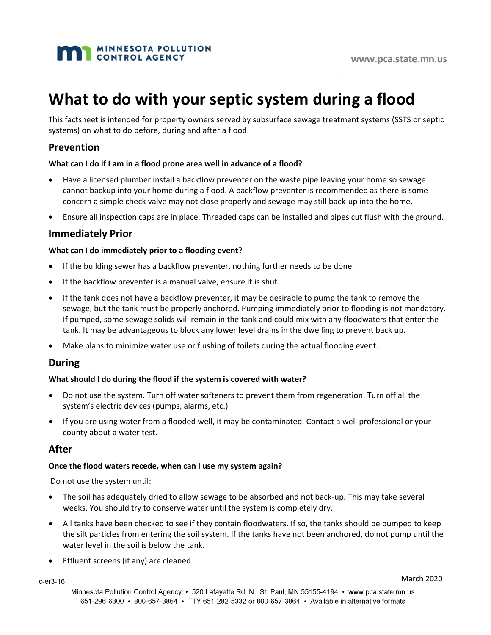# **MAN MINNESOTA POLLUTION**

# **What to do with your septic system during a flood**

This factsheet is intended for property owners served by subsurface sewage treatment systems (SSTS or septic systems) on what to do before, during and after a flood.

# **Prevention**

# **What can I do if I am in a flood prone area well in advance of a flood?**

- Have a licensed plumber install a backflow preventer on the waste pipe leaving your home so sewage cannot backup into your home during a flood. A backflow preventer is recommended as there is some concern a simple check valve may not close properly and sewage may still back-up into the home.
- Ensure all inspection caps are in place. Threaded caps can be installed and pipes cut flush with the ground.

# **Immediately Prior**

## **What can I do immediately prior to a flooding event?**

- If the building sewer has a backflow preventer, nothing further needs to be done.
- If the backflow preventer is a manual valve, ensure it is shut.
- If the tank does not have a backflow preventer, it may be desirable to pump the tank to remove the sewage, but the tank must be properly anchored. Pumping immediately prior to flooding is not mandatory. If pumped, some sewage solids will remain in the tank and could mix with any floodwaters that enter the tank. It may be advantageous to block any lower level drains in the dwelling to prevent back up.
- Make plans to minimize water use or flushing of toilets during the actual flooding event.

# **During**

# **What should I do during the flood if the system is covered with water?**

- Do not use the system. Turn off water softeners to prevent them from regeneration. Turn off all the system's electric devices (pumps, alarms, etc.)
- If you are using water from a flooded well, it may be contaminated. Contact a well professional or your county about a water test.

# **After**

#### **Once the flood waters recede, when can I use my system again?**

Do not use the system until:

- The soil has adequately dried to allow sewage to be absorbed and not back-up. This may take several weeks. You should try to conserve water until the system is completely dry.
- All tanks have been checked to see if they contain floodwaters. If so, the tanks should be pumped to keep the silt particles from entering the soil system. If the tanks have not been anchored, do not pump until the water level in the soil is below the tank.
- Effluent screens (if any) are cleaned.

c-er3-16